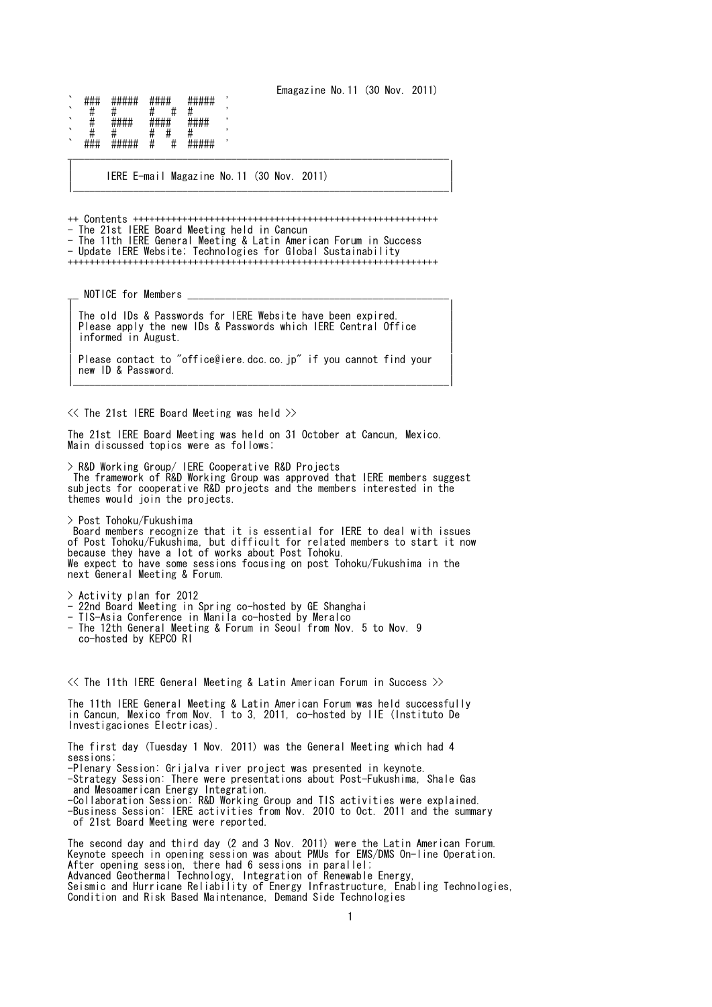Emagazine No.11 (30 Nov. 2011)

` ### ##### #### ##### ' ` # # # # # ' ##### ##### ` # # # # # ' ` ### ##### # # ##### ' \_\_\_\_\_\_\_\_\_\_\_\_\_\_\_\_\_\_\_\_\_\_\_\_\_\_\_\_\_\_\_\_\_\_\_\_\_\_\_\_\_\_\_\_\_\_\_\_\_\_\_\_\_\_\_\_\_\_\_\_\_\_\_\_\_\_\_\_\_\_

| IERE E-mail Magazine No.11 (30 Nov. 2011) | |\_\_\_\_\_\_\_\_\_\_\_\_\_\_\_\_\_\_\_\_\_\_\_\_\_\_\_\_\_\_\_\_\_\_\_\_\_\_\_\_\_\_\_\_\_\_\_\_\_\_\_\_\_\_\_\_\_\_\_\_\_\_\_\_\_\_\_\_\_|

++ Contents ++++++++++++++++++++++++++++++++++++++++++++++++++++++++ - The 21st IERE Board Meeting held in Cancun - The 11th IERE General Meeting & Latin American Forum in Success - Update IERE Website; Technologies for Global Sustainability ++++++++++++++++++++++++++++++++++++++++++++++++++++++++++++++++++++

| |

NOTICE for Members \_ | |

The old IDs & Passwords for IERE Website have been expired. The statist attachments for the messive matched been expressed. informed in August. | |

| Please contact to "office@iere.dcc.co.jp" if you cannot find your | new ID & Password. |\_\_\_\_\_\_\_\_\_\_\_\_\_\_\_\_\_\_\_\_\_\_\_\_\_\_\_\_\_\_\_\_\_\_\_\_\_\_\_\_\_\_\_\_\_\_\_\_\_\_\_\_\_\_\_\_\_\_\_\_\_\_\_\_\_\_\_\_\_|

 $\ll$  The 21st IERE Board Meeting was held  $\gg$ 

The 21st IERE Board Meeting was held on 31 October at Cancun, Mexico. Main discussed topics were as follows;

> R&D Working Group/ IERE Cooperative R&D Projects The framework of R&D Working Group was approved that IERE members suggest subjects for cooperative R&D projects and the members interested in the themes would join the projects.

> Post Tohoku/Fukushima Board members recognize that it is essential for IERE to deal with issues of Post Tohoku/Fukushima, but difficult for related members to start it now because they have a lot of works about Post Tohoku. We expect to have some sessions focusing on post Tohoku/Fukushima in the next General Meeting & Forum.

> Activity plan for 2012

- 22nd Board Meeting in Spring co-hosted by GE Shanghai
- TIS-Asia Conference in Manila co-hosted by Meralco
- The 12th General Meeting & Forum in Seoul from Nov. 5 to Nov. 9 co-hosted by KEPCO RI

 $\ll$  The 11th IERE General Meeting & Latin American Forum in Success  $\gg$ 

The 11th IERE General Meeting & Latin American Forum was held successfully in Cancun, Mexico from Nov. 1 to 3, 2011, co-hosted by IIE (Instituto De Investigaciones Electricas).

The first day (Tuesday 1 Nov. 2011) was the General Meeting which had 4 sessions;

-Plenary Session: Grijalva river project was presented in keynote.

-Strategy Session: There were presentations about Post-Fukushima, Shale Gas and Mesoamerican Energy Integration.

-Collaboration Session: R&D Working Group and TIS activities were explained.

-Business Session: IERE activities from Nov. 2010 to Oct. 2011 and the summary of 21st Board Meeting were reported.

The second day and third day (2 and 3 Nov. 2011) were the Latin American Forum. Keynote speech in opening session was about PMUs for EMS/DMS On-line Operation. After opening session, there had 6 sessions in parallel; Advanced Geothermal Technology, Integration of Renewable Energy, Seismic and Hurricane Reliability of Energy Infrastructure, Enabling Technologies, Condition and Risk Based Maintenance, Demand Side Technologies